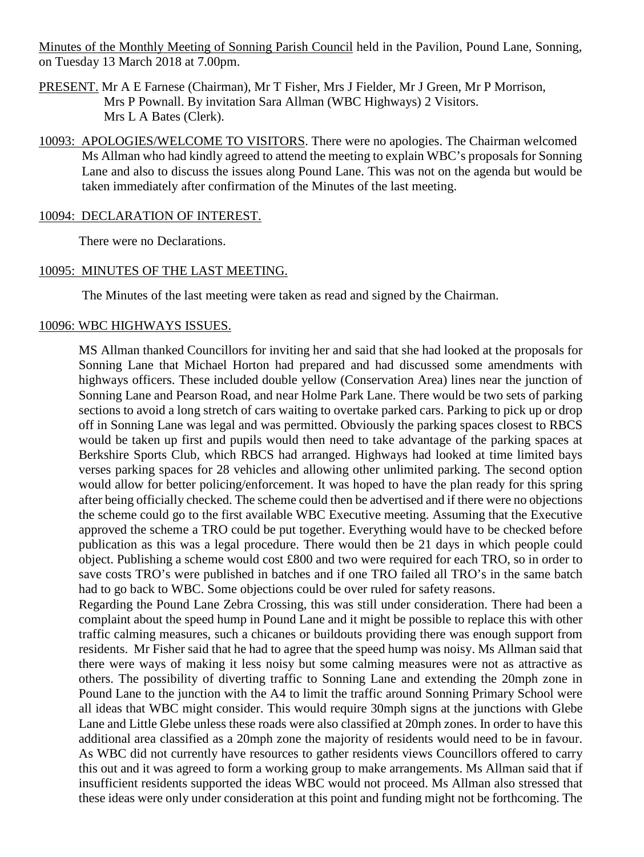Minutes of the Monthly Meeting of Sonning Parish Council held in the Pavilion, Pound Lane, Sonning, on Tuesday 13 March 2018 at 7.00pm.

- PRESENT. Mr A E Farnese (Chairman), Mr T Fisher, Mrs J Fielder, Mr J Green, Mr P Morrison, Mrs P Pownall. By invitation Sara Allman (WBC Highways) 2 Visitors. Mrs L A Bates (Clerk).
- 10093: APOLOGIES/WELCOME TO VISITORS. There were no apologies. The Chairman welcomed Ms Allman who had kindly agreed to attend the meeting to explain WBC's proposals for Sonning Lane and also to discuss the issues along Pound Lane. This was not on the agenda but would be taken immediately after confirmation of the Minutes of the last meeting.

#### 10094: DECLARATION OF INTEREST.

There were no Declarations.

### 10095: MINUTES OF THE LAST MEETING.

The Minutes of the last meeting were taken as read and signed by the Chairman.

#### 10096: WBC HIGHWAYS ISSUES.

MS Allman thanked Councillors for inviting her and said that she had looked at the proposals for Sonning Lane that Michael Horton had prepared and had discussed some amendments with highways officers. These included double yellow (Conservation Area) lines near the junction of Sonning Lane and Pearson Road, and near Holme Park Lane. There would be two sets of parking sections to avoid a long stretch of cars waiting to overtake parked cars. Parking to pick up or drop off in Sonning Lane was legal and was permitted. Obviously the parking spaces closest to RBCS would be taken up first and pupils would then need to take advantage of the parking spaces at Berkshire Sports Club, which RBCS had arranged. Highways had looked at time limited bays verses parking spaces for 28 vehicles and allowing other unlimited parking. The second option would allow for better policing/enforcement. It was hoped to have the plan ready for this spring after being officially checked. The scheme could then be advertised and if there were no objections the scheme could go to the first available WBC Executive meeting. Assuming that the Executive approved the scheme a TRO could be put together. Everything would have to be checked before publication as this was a legal procedure. There would then be 21 days in which people could object. Publishing a scheme would cost £800 and two were required for each TRO, so in order to save costs TRO's were published in batches and if one TRO failed all TRO's in the same batch had to go back to WBC. Some objections could be over ruled for safety reasons.

Regarding the Pound Lane Zebra Crossing, this was still under consideration. There had been a complaint about the speed hump in Pound Lane and it might be possible to replace this with other traffic calming measures, such a chicanes or buildouts providing there was enough support from residents. Mr Fisher said that he had to agree that the speed hump was noisy. Ms Allman said that there were ways of making it less noisy but some calming measures were not as attractive as others. The possibility of diverting traffic to Sonning Lane and extending the 20mph zone in Pound Lane to the junction with the A4 to limit the traffic around Sonning Primary School were all ideas that WBC might consider. This would require 30mph signs at the junctions with Glebe Lane and Little Glebe unless these roads were also classified at 20mph zones. In order to have this additional area classified as a 20mph zone the majority of residents would need to be in favour. As WBC did not currently have resources to gather residents views Councillors offered to carry this out and it was agreed to form a working group to make arrangements. Ms Allman said that if insufficient residents supported the ideas WBC would not proceed. Ms Allman also stressed that these ideas were only under consideration at this point and funding might not be forthcoming. The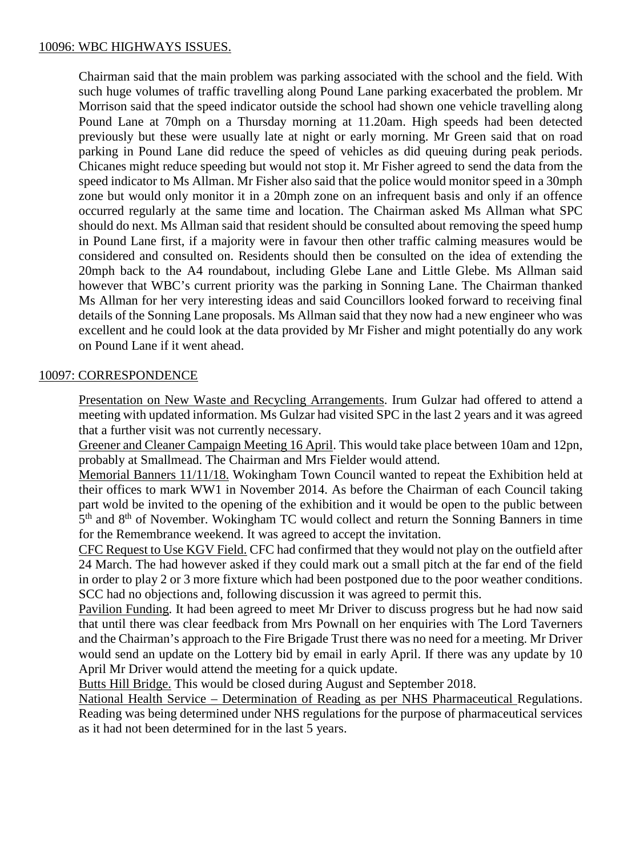## 10096: WBC HIGHWAYS ISSUES.

Chairman said that the main problem was parking associated with the school and the field. With such huge volumes of traffic travelling along Pound Lane parking exacerbated the problem. Mr Morrison said that the speed indicator outside the school had shown one vehicle travelling along Pound Lane at 70mph on a Thursday morning at 11.20am. High speeds had been detected previously but these were usually late at night or early morning. Mr Green said that on road parking in Pound Lane did reduce the speed of vehicles as did queuing during peak periods. Chicanes might reduce speeding but would not stop it. Mr Fisher agreed to send the data from the speed indicator to Ms Allman. Mr Fisher also said that the police would monitor speed in a 30mph zone but would only monitor it in a 20mph zone on an infrequent basis and only if an offence occurred regularly at the same time and location. The Chairman asked Ms Allman what SPC should do next. Ms Allman said that resident should be consulted about removing the speed hump in Pound Lane first, if a majority were in favour then other traffic calming measures would be considered and consulted on. Residents should then be consulted on the idea of extending the 20mph back to the A4 roundabout, including Glebe Lane and Little Glebe. Ms Allman said however that WBC's current priority was the parking in Sonning Lane. The Chairman thanked Ms Allman for her very interesting ideas and said Councillors looked forward to receiving final details of the Sonning Lane proposals. Ms Allman said that they now had a new engineer who was excellent and he could look at the data provided by Mr Fisher and might potentially do any work on Pound Lane if it went ahead.

# 10097: CORRESPONDENCE

Presentation on New Waste and Recycling Arrangements. Irum Gulzar had offered to attend a meeting with updated information. Ms Gulzar had visited SPC in the last 2 years and it was agreed that a further visit was not currently necessary.

Greener and Cleaner Campaign Meeting 16 April. This would take place between 10am and 12pn, probably at Smallmead. The Chairman and Mrs Fielder would attend.

Memorial Banners 11/11/18. Wokingham Town Council wanted to repeat the Exhibition held at their offices to mark WW1 in November 2014. As before the Chairman of each Council taking part wold be invited to the opening of the exhibition and it would be open to the public between  $5<sup>th</sup>$  and 8<sup>th</sup> of November. Wokingham TC would collect and return the Sonning Banners in time for the Remembrance weekend. It was agreed to accept the invitation.

CFC Request to Use KGV Field. CFC had confirmed that they would not play on the outfield after 24 March. The had however asked if they could mark out a small pitch at the far end of the field in order to play 2 or 3 more fixture which had been postponed due to the poor weather conditions. SCC had no objections and, following discussion it was agreed to permit this.

Pavilion Funding. It had been agreed to meet Mr Driver to discuss progress but he had now said that until there was clear feedback from Mrs Pownall on her enquiries with The Lord Taverners and the Chairman's approach to the Fire Brigade Trust there was no need for a meeting. Mr Driver would send an update on the Lottery bid by email in early April. If there was any update by 10 April Mr Driver would attend the meeting for a quick update.

Butts Hill Bridge. This would be closed during August and September 2018.

National Health Service – Determination of Reading as per NHS Pharmaceutical Regulations. Reading was being determined under NHS regulations for the purpose of pharmaceutical services as it had not been determined for in the last 5 years.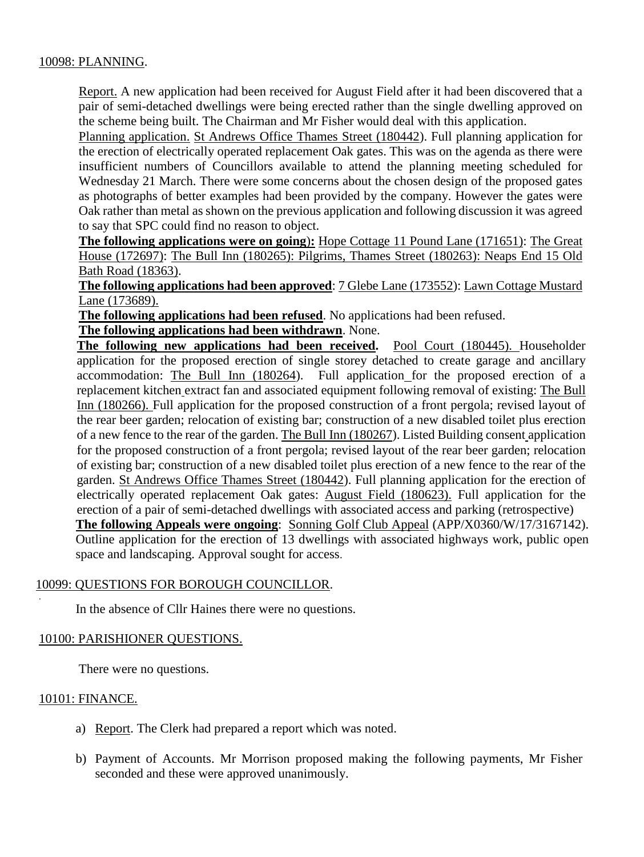# 10098: PLANNING.

Report. A new application had been received for August Field after it had been discovered that a pair of semi-detached dwellings were being erected rather than the single dwelling approved on the scheme being built. The Chairman and Mr Fisher would deal with this application.

Planning application. St Andrews Office Thames Street (180442). Full planning application for the erection of electrically operated replacement Oak gates. This was on the agenda as there were insufficient numbers of Councillors available to attend the planning meeting scheduled for Wednesday 21 March. There were some concerns about the chosen design of the proposed gates as photographs of better examples had been provided by the company. However the gates were Oak rather than metal as shown on the previous application and following discussion it was agreed to say that SPC could find no reason to object.

**The following applications were on going**)**:** Hope Cottage 11 Pound Lane (171651): The Great House (172697): The Bull Inn (180265): Pilgrims, Thames Street (180263): Neaps End 15 Old Bath Road (18363).

**The following applications had been approved**: 7 Glebe Lane (173552): Lawn Cottage Mustard Lane (173689).

**The following applications had been refused**. No applications had been refused.

**The following applications had been withdrawn**. None.

**The following new applications had been received.** Pool Court (180445). Householder application for the proposed erection of single storey detached to create garage and ancillary accommodation: The Bull Inn (180264). Full application for the proposed erection of a replacement kitchen extract fan and associated equipment following removal of existing: The Bull Inn (180266). Full application for the proposed construction of a front pergola; revised layout of the rear beer garden; relocation of existing bar; construction of a new disabled toilet plus erection of a new fence to the rear of the garden. The Bull Inn (180267). Listed Building consent application for the proposed construction of a front pergola; revised layout of the rear beer garden; relocation of existing bar; construction of a new disabled toilet plus erection of a new fence to the rear of the garden. St Andrews Office Thames Street (180442). Full planning application for the erection of electrically operated replacement Oak gates: August Field (180623). Full application for the erection of a pair of semi-detached dwellings with associated access and parking (retrospective) **The following Appeals were ongoing**: Sonning Golf Club Appeal (APP/X0360/W/17/3167142). Outline application for the erection of 13 dwellings with associated highways work, public open space and landscaping. Approval sought for access.

### 10099: QUESTIONS FOR BOROUGH COUNCILLOR.

In the absence of Cllr Haines there were no questions.

### 10100: PARISHIONER QUESTIONS.

There were no questions.

### 10101: FINANCE.

.

- a) Report. The Clerk had prepared a report which was noted.
- b) Payment of Accounts. Mr Morrison proposed making the following payments, Mr Fisher seconded and these were approved unanimously.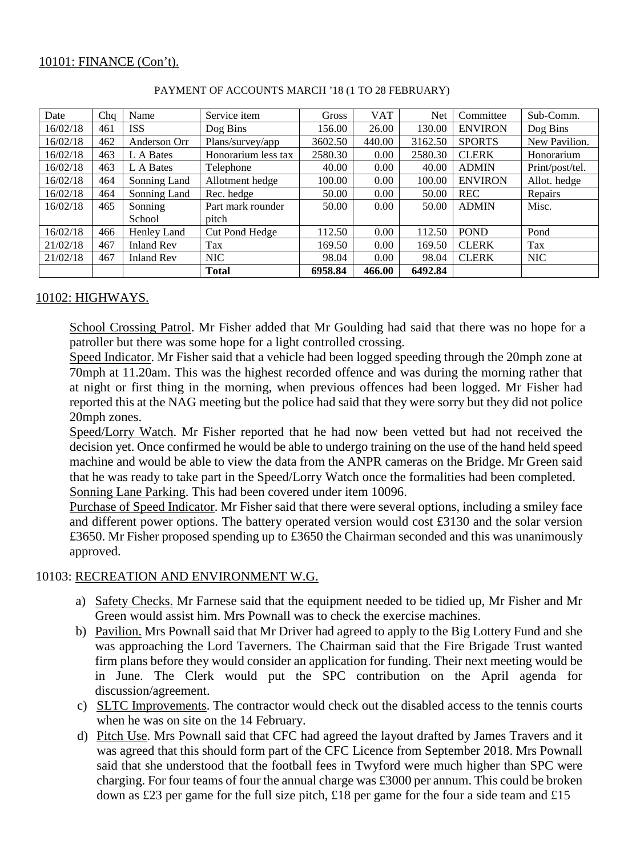### 10101: FINANCE (Con't).

| Date     | Cha | Name               | Service item        | Gross   | <b>VAT</b> | Net     | Committee      | Sub-Comm.       |
|----------|-----|--------------------|---------------------|---------|------------|---------|----------------|-----------------|
| 16/02/18 | 461 | <b>ISS</b>         | Dog Bins            | 156.00  | 26.00      | 130.00  | <b>ENVIRON</b> | Dog Bins        |
| 16/02/18 | 462 | Anderson Orr       | Plans/survey/app    | 3602.50 | 440.00     | 3162.50 | <b>SPORTS</b>  | New Pavilion.   |
| 16/02/18 | 463 | L A Bates          | Honorarium less tax | 2580.30 | 0.00       | 2580.30 | <b>CLERK</b>   | Honorarium      |
| 16/02/18 | 463 | L A Bates          | Telephone           | 40.00   | $0.00\,$   | 40.00   | <b>ADMIN</b>   | Print/post/tel. |
| 16/02/18 | 464 | Sonning Land       | Allotment hedge     | 100.00  | 0.00       | 100.00  | <b>ENVIRON</b> | Allot. hedge    |
| 16/02/18 | 464 | Sonning Land       | Rec. hedge          | 50.00   | 0.00       | 50.00   | <b>REC</b>     | Repairs         |
| 16/02/18 | 465 | Sonning            | Part mark rounder   | 50.00   | 0.00       | 50.00   | <b>ADMIN</b>   | Misc.           |
|          |     | School             | pitch               |         |            |         |                |                 |
| 16/02/18 | 466 | <b>Henley Land</b> | Cut Pond Hedge      | 112.50  | 0.00       | 112.50  | <b>POND</b>    | Pond            |
| 21/02/18 | 467 | <b>Inland Rev</b>  | Tax                 | 169.50  | 0.00       | 169.50  | <b>CLERK</b>   | Tax             |
| 21/02/18 | 467 | <b>Inland Rev</b>  | <b>NIC</b>          | 98.04   | 0.00       | 98.04   | <b>CLERK</b>   | <b>NIC</b>      |
|          |     |                    | <b>Total</b>        | 6958.84 | 466.00     | 6492.84 |                |                 |

#### PAYMENT OF ACCOUNTS MARCH '18 (1 TO 28 FEBRUARY)

# 10102: HIGHWAYS.

School Crossing Patrol. Mr Fisher added that Mr Goulding had said that there was no hope for a patroller but there was some hope for a light controlled crossing.

Speed Indicator. Mr Fisher said that a vehicle had been logged speeding through the 20mph zone at 70mph at 11.20am. This was the highest recorded offence and was during the morning rather that at night or first thing in the morning, when previous offences had been logged. Mr Fisher had reported this at the NAG meeting but the police had said that they were sorry but they did not police 20mph zones.

Speed/Lorry Watch. Mr Fisher reported that he had now been vetted but had not received the decision yet. Once confirmed he would be able to undergo training on the use of the hand held speed machine and would be able to view the data from the ANPR cameras on the Bridge. Mr Green said that he was ready to take part in the Speed/Lorry Watch once the formalities had been completed. Sonning Lane Parking. This had been covered under item 10096.

Purchase of Speed Indicator. Mr Fisher said that there were several options, including a smiley face and different power options. The battery operated version would cost £3130 and the solar version £3650. Mr Fisher proposed spending up to £3650 the Chairman seconded and this was unanimously approved.

### 10103: RECREATION AND ENVIRONMENT W.G.

- a) Safety Checks. Mr Farnese said that the equipment needed to be tidied up, Mr Fisher and Mr Green would assist him. Mrs Pownall was to check the exercise machines.
- b) Pavilion. Mrs Pownall said that Mr Driver had agreed to apply to the Big Lottery Fund and she was approaching the Lord Taverners. The Chairman said that the Fire Brigade Trust wanted firm plans before they would consider an application for funding. Their next meeting would be in June. The Clerk would put the SPC contribution on the April agenda for discussion/agreement.
- c) SLTC Improvements. The contractor would check out the disabled access to the tennis courts when he was on site on the 14 February.
- d) Pitch Use. Mrs Pownall said that CFC had agreed the layout drafted by James Travers and it was agreed that this should form part of the CFC Licence from September 2018. Mrs Pownall said that she understood that the football fees in Twyford were much higher than SPC were charging. For four teams of four the annual charge was £3000 per annum. This could be broken down as £23 per game for the full size pitch, £18 per game for the four a side team and £15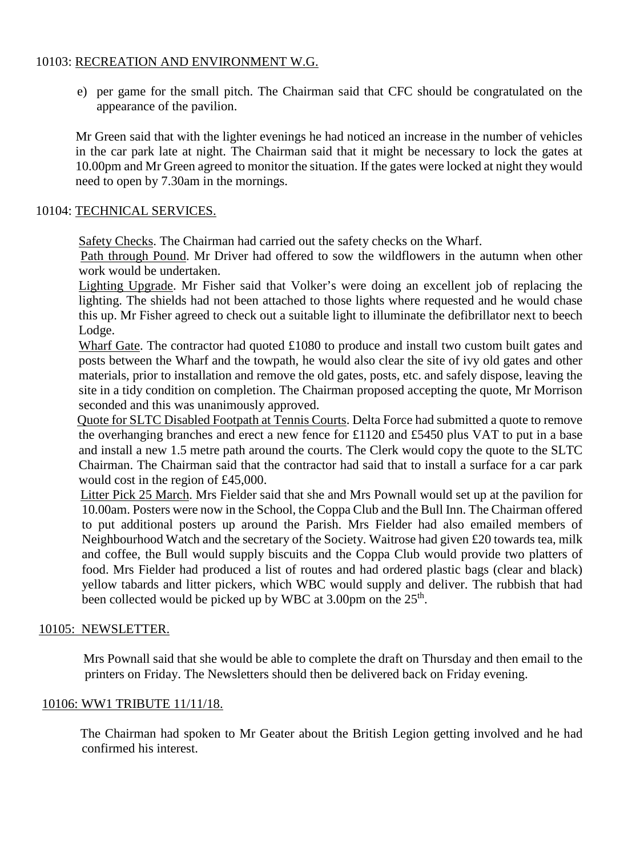# 10103: RECREATION AND ENVIRONMENT W.G.

e) per game for the small pitch. The Chairman said that CFC should be congratulated on the appearance of the pavilion.

Mr Green said that with the lighter evenings he had noticed an increase in the number of vehicles in the car park late at night. The Chairman said that it might be necessary to lock the gates at 10.00pm and Mr Green agreed to monitor the situation. If the gates were locked at night they would need to open by 7.30am in the mornings.

### 10104: TECHNICAL SERVICES.

Safety Checks. The Chairman had carried out the safety checks on the Wharf.

 Path through Pound. Mr Driver had offered to sow the wildflowers in the autumn when other work would be undertaken.

Lighting Upgrade. Mr Fisher said that Volker's were doing an excellent job of replacing the lighting. The shields had not been attached to those lights where requested and he would chase this up. Mr Fisher agreed to check out a suitable light to illuminate the defibrillator next to beech Lodge.

Wharf Gate. The contractor had quoted £1080 to produce and install two custom built gates and posts between the Wharf and the towpath, he would also clear the site of ivy old gates and other materials, prior to installation and remove the old gates, posts, etc. and safely dispose, leaving the site in a tidy condition on completion. The Chairman proposed accepting the quote, Mr Morrison seconded and this was unanimously approved.

 Quote for SLTC Disabled Footpath at Tennis Courts. Delta Force had submitted a quote to remove the overhanging branches and erect a new fence for £1120 and £5450 plus VAT to put in a base and install a new 1.5 metre path around the courts. The Clerk would copy the quote to the SLTC Chairman. The Chairman said that the contractor had said that to install a surface for a car park would cost in the region of £45,000.

 Litter Pick 25 March. Mrs Fielder said that she and Mrs Pownall would set up at the pavilion for 10.00am. Posters were now in the School, the Coppa Club and the Bull Inn. The Chairman offered to put additional posters up around the Parish. Mrs Fielder had also emailed members of Neighbourhood Watch and the secretary of the Society. Waitrose had given £20 towards tea, milk and coffee, the Bull would supply biscuits and the Coppa Club would provide two platters of food. Mrs Fielder had produced a list of routes and had ordered plastic bags (clear and black) yellow tabards and litter pickers, which WBC would supply and deliver. The rubbish that had been collected would be picked up by WBC at 3.00pm on the 25<sup>th</sup>.

### 10105: NEWSLETTER.

 Mrs Pownall said that she would be able to complete the draft on Thursday and then email to the printers on Friday. The Newsletters should then be delivered back on Friday evening.

### 10106: WW1 TRIBUTE 11/11/18.

 The Chairman had spoken to Mr Geater about the British Legion getting involved and he had confirmed his interest.